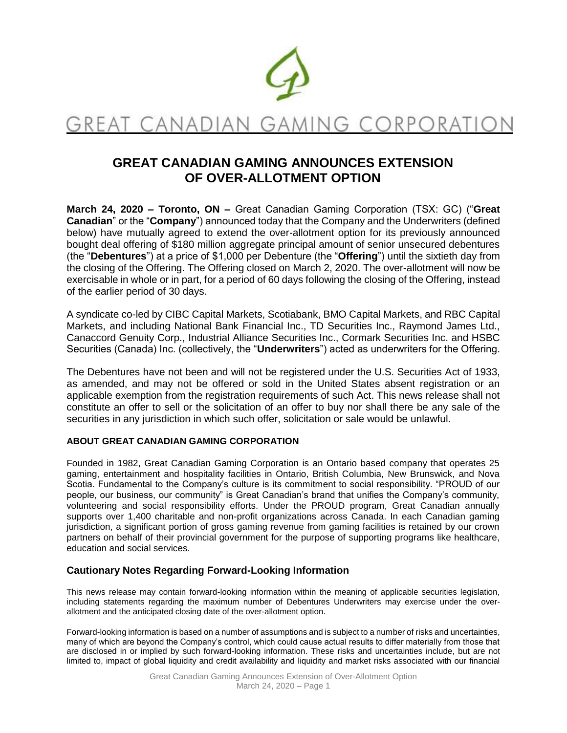

# GREAT CANADIAN GAMING CORPORATIO

# **GREAT CANADIAN GAMING ANNOUNCES EXTENSION OF OVER-ALLOTMENT OPTION**

**March 24, 2020 – Toronto, ON –** Great Canadian Gaming Corporation (TSX: GC) ("**Great Canadian**" or the "**Company**") announced today that the Company and the Underwriters (defined below) have mutually agreed to extend the over-allotment option for its previously announced bought deal offering of \$180 million aggregate principal amount of senior unsecured debentures (the "**Debentures**") at a price of \$1,000 per Debenture (the "**Offering**") until the sixtieth day from the closing of the Offering. The Offering closed on March 2, 2020. The over-allotment will now be exercisable in whole or in part, for a period of 60 days following the closing of the Offering, instead of the earlier period of 30 days.

A syndicate co-led by CIBC Capital Markets, Scotiabank, BMO Capital Markets, and RBC Capital Markets, and including National Bank Financial Inc., TD Securities Inc., Raymond James Ltd., Canaccord Genuity Corp., Industrial Alliance Securities Inc., Cormark Securities Inc. and HSBC Securities (Canada) Inc. (collectively, the "**Underwriters**") acted as underwriters for the Offering.

The Debentures have not been and will not be registered under the U.S. Securities Act of 1933, as amended, and may not be offered or sold in the United States absent registration or an applicable exemption from the registration requirements of such Act. This news release shall not constitute an offer to sell or the solicitation of an offer to buy nor shall there be any sale of the securities in any jurisdiction in which such offer, solicitation or sale would be unlawful.

#### **ABOUT GREAT CANADIAN GAMING CORPORATION**

Founded in 1982, Great Canadian Gaming Corporation is an Ontario based company that operates 25 gaming, entertainment and hospitality facilities in Ontario, British Columbia, New Brunswick, and Nova Scotia. Fundamental to the Company's culture is its commitment to social responsibility. "PROUD of our people, our business, our community" is Great Canadian's brand that unifies the Company's community, volunteering and social responsibility efforts. Under the PROUD program, Great Canadian annually supports over 1,400 charitable and non-profit organizations across Canada. In each Canadian gaming jurisdiction, a significant portion of gross gaming revenue from gaming facilities is retained by our crown partners on behalf of their provincial government for the purpose of supporting programs like healthcare, education and social services.

## **Cautionary Notes Regarding Forward-Looking Information**

This news release may contain forward-looking information within the meaning of applicable securities legislation, including statements regarding the maximum number of Debentures Underwriters may exercise under the overallotment and the anticipated closing date of the over-allotment option.

Forward-looking information is based on a number of assumptions and is subject to a number of risks and uncertainties, many of which are beyond the Company's control, which could cause actual results to differ materially from those that are disclosed in or implied by such forward-looking information. These risks and uncertainties include, but are not limited to, impact of global liquidity and credit availability and liquidity and market risks associated with our financial